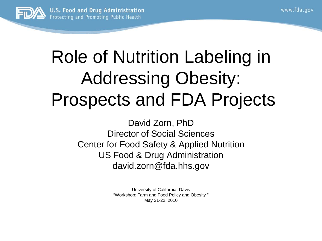

#### Role of Nutrition Labeling in Addressing Obesity: Prospects and FDA Projects

David Zorn, PhD Director of Social Sciences Center for Food Safety & Applied Nutrition US Food & Drug Administration david.zorn@fda.hhs.gov

> University of California, Davis "Workshop: Farm and Food Policy and Obesity " May 21-22, 2010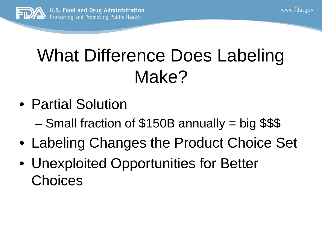

#### What Difference Does Labeling Make?

- Partial Solution
	- Small fraction of \$150B annually = big \$\$\$
- Labeling Changes the Product Choice Set
- Unexploited Opportunities for Better Choices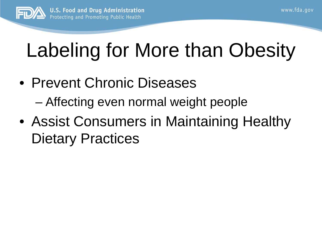

# Labeling for More than Obesity

- Prevent Chronic Diseases – Affecting even normal weight people
- Assist Consumers in Maintaining Healthy Dietary Practices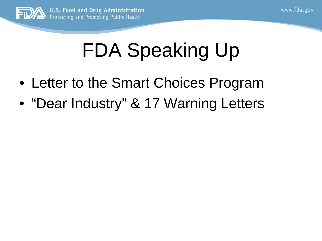

## FDA Speaking Up

- Letter to the Smart Choices Program
- "Dear Industry" & 17 Warning Letters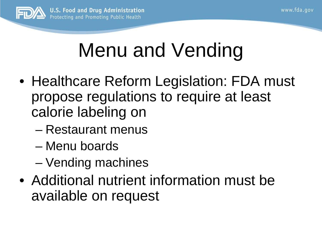

### Menu and Vending

- Healthcare Reform Legislation: FDA must propose regulations to require at least calorie labeling on
	- Restaurant menus
	- Menu boards
	- Vending machines
- Additional nutrient information must be available on request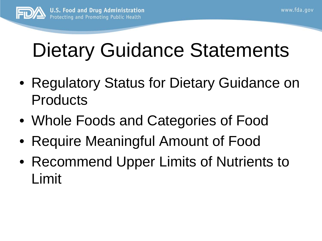

# Dietary Guidance Statements

- Regulatory Status for Dietary Guidance on **Products**
- Whole Foods and Categories of Food
- Require Meaningful Amount of Food
- Recommend Upper Limits of Nutrients to Limit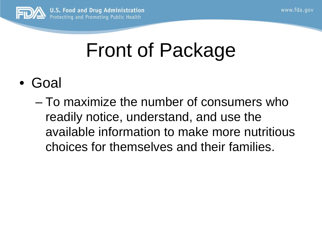

### Front of Package

- Goal
	- To maximize the number of consumers who readily notice, understand, and use the available information to make more nutritious choices for themselves and their families.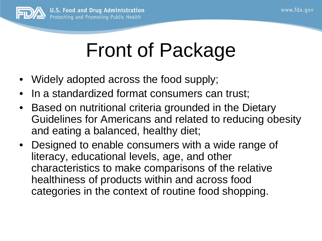

### Front of Package

- Widely adopted across the food supply;
- In a standardized format consumers can trust;
- Based on nutritional criteria grounded in the Dietary Guidelines for Americans and related to reducing obesity and eating a balanced, healthy diet;
- Designed to enable consumers with a wide range of literacy, educational levels, age, and other characteristics to make comparisons of the relative healthiness of products within and across food categories in the context of routine food shopping.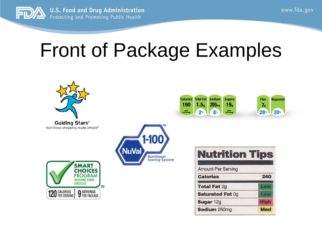

#### Front of Package Examples



Guiding Stars® Nutritious shopping made simple®





| <b>Nutrition Tips</b>     |     |
|---------------------------|-----|
| <b>Amount Per Serving</b> |     |
| <b>Calories</b>           | 240 |
| <b>Total Fat 2g</b>       |     |
| <b>Saturated Fat Og</b>   |     |
| Sugar 12g                 |     |
|                           |     |

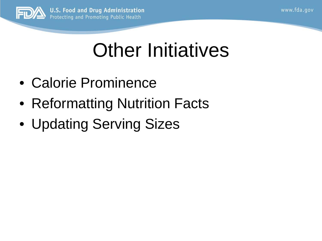

### Other Initiatives

- Calorie Prominence
- Reformatting Nutrition Facts
- Updating Serving Sizes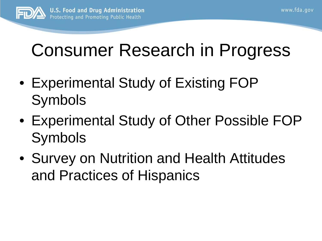

### Consumer Research in Progress

- Experimental Study of Existing FOP Symbols
- Experimental Study of Other Possible FOP Symbols
- Survey on Nutrition and Health Attitudes and Practices of Hispanics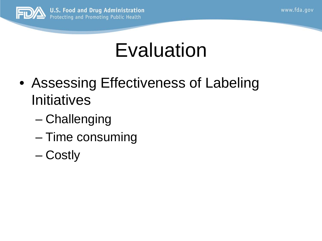

#### **Evaluation**

- Assessing Effectiveness of Labeling **Initiatives** 
	- Challenging
	- Time consuming
	- Costly